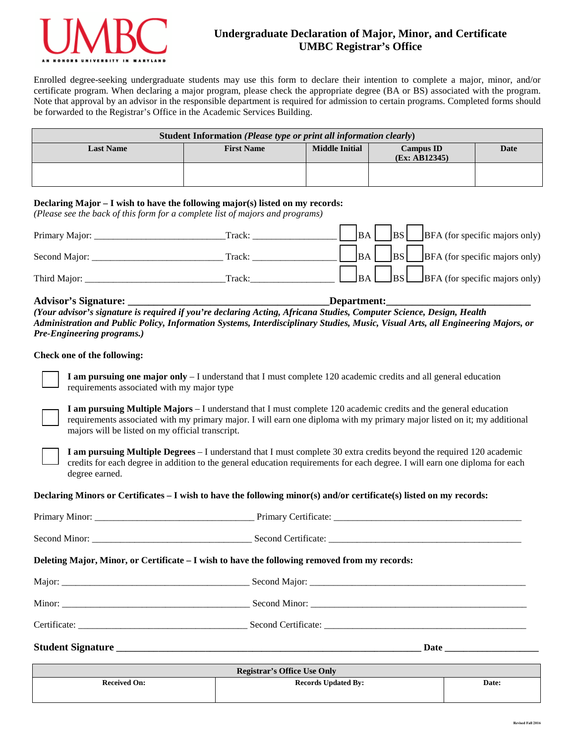

# **Undergraduate Declaration of Major, Minor, and Certificate UMBC Registrar's Office**

Enrolled degree-seeking undergraduate students may use this form to declare their intention to complete a major, minor, and/or certificate program. When declaring a major program, please check the appropriate degree (BA or BS) associated with the program. Note that approval by an advisor in the responsible department is required for admission to certain programs. Completed forms should be forwarded to the Registrar's Office in the Academic Services Building.

| Student Information (Please type or print all information clearly) |                   |                       |                                   |      |  |  |  |
|--------------------------------------------------------------------|-------------------|-----------------------|-----------------------------------|------|--|--|--|
| <b>Last Name</b>                                                   | <b>First Name</b> | <b>Middle Initial</b> | <b>Campus ID</b><br>(Ex: AB12345) | Date |  |  |  |
|                                                                    |                   |                       |                                   |      |  |  |  |

# **Declaring Major – I wish to have the following major(s) listed on my records:**

*(Please see the back of this form for a complete list of majors and programs)*

| Primary Major: | Track: |  |  | $\begin{bmatrix} B A \end{bmatrix}$ $\begin{bmatrix} BS \end{bmatrix}$ BFA (for specific majors only) |
|----------------|--------|--|--|-------------------------------------------------------------------------------------------------------|
| Second Major:  | Track: |  |  | $\Box$ BA $\Box$ BS $\Box$ BFA (for specific majors only)                                             |
| Third Major:   | Track: |  |  | $\Box$ BA $\Box$ BS $\Box$ BFA (for specific majors only)                                             |

# Advisor's Signature: **We are also assumed as a set of the set of the set of the set of the set of the set of the set of the set of the set of the set of the set of the set of the set of the set of the set of the set of the**

*(Your advisor's signature is required if you're declaring Acting, Africana Studies, Computer Science, Design, Health Administration and Public Policy, Information Systems, Interdisciplinary Studies, Music, Visual Arts, all Engineering Majors, or Pre-Engineering programs.)*

# **Check one of the following:**



**I am pursuing one major only** – I understand that I must complete 120 academic credits and all general education requirements associated with my major type

**I am pursuing Multiple Majors** – I understand that I must complete 120 academic credits and the general education requirements associated with my primary major. I will earn one diploma with my primary major listed on it; my additional majors will be listed on my official transcript.

**I am pursuing Multiple Degrees** – I understand that I must complete 30 extra credits beyond the required 120 academic credits for each degree in addition to the general education requirements for each degree. I will earn one diploma for each degree earned.

### **Declaring Minors or Certificates – I wish to have the following minor(s) and/or certificate(s) listed on my records:**

| $\mathbf{D}_{\alpha}$ oriety on $\alpha$ of $\mathbf{C}_{\alpha}$ of $\mathbf{D}_{\alpha}$ of $\mathbf{D}_{\alpha}$ |  |
|---------------------------------------------------------------------------------------------------------------------|--|
|                                                                                                                     |  |
|                                                                                                                     |  |
|                                                                                                                     |  |
|                                                                                                                     |  |
| Deleting Major, Minor, or Certificate – I wish to have the following removed from my records:                       |  |
|                                                                                                                     |  |
|                                                                                                                     |  |

| <b>Registrar's Office Use Only</b> |                            |       |  |  |  |  |
|------------------------------------|----------------------------|-------|--|--|--|--|
| <b>Received On:</b>                | <b>Records Updated By:</b> | Date: |  |  |  |  |
|                                    |                            |       |  |  |  |  |